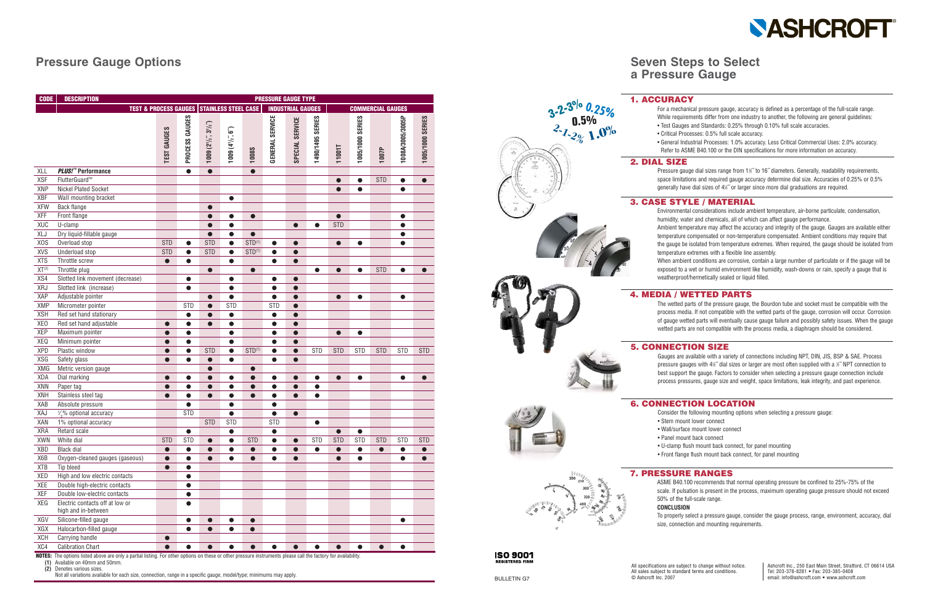# **Seven Steps to Select a Pressure Gauge**

## **Pressure Gauge Options**

# **NASHCROFT**

© Ashcroft Inc. 2007

### **4. MEDIA / WETTED PARTS**

The wetted parts of the pressure gauge, the Bourdon tube and socket must be compatible with the process media. If not compatible with the wetted parts of the gauge, corrosion will occur. Corrosion of gauge wetted parts will eventually cause gauge failure and possibly safety issues. When the gauge wetted parts are not compatible with the process media, a diaphragm should be considered.

ASME B40.100 recommends that normal operating pressure be confined to 25%-75% of the scale. If pulsation is present in the process, maximum operating gauge pressure should not exceed 50% of the full-scale range.

**CONCLUSION**

**ISO 9001 REGISTERED FIRM** 

To properly select a pressure gauge, consider the gauge process, range, environment, accuracy, dial size, connection and mounting requirements.

### **3. CASE STYLE / MATERIAL**

- Environmental considerations include ambient temperature, air-borne particulate, condensation, humidity, water and chemicals, all of which can affect gauge performance.
- Ambient temperature may affect the accuracy and integrity of the gauge. Gauges are available either temperature compensated or non-temperature compensated. Ambient conditions may require that the gauge be isolated from temperature extremes. When required, the gauge should be isolated from temperature extremes with a flexible line assembly.
- When ambient conditions are corrosive, contain a large number of particulate or if the gauge will be exposed to a wet or humid environment like humidity, wash-downs or rain, specify a gauge that is weatherproof/hermetically sealed or liquid filled.
- For a mechanical pressure gauge, accuracy is defined as a percentage of the full-scale range. While requirements differ from one industry to another, the following are general guidelines: • Test Gauges and Standards: 0.25% through 0.10% full scale accuracies.
- Critical Processes: 0.5% full scale accuracy.
- General Industrial Processes: 1.0% accuracy. Less Critical Commercial Uses: 2.0% accuracy. Refer to ASME B40.100 or the DIN specifications for more information on accuracy.

Pressure gauge dial sizes range from 1½" to 16" diameters. Generally, readability requirements, space limitations and required gauge accuracy determine dial size. Accuracies of 0.25% or 0.5% generally have dial sizes of 4½" or larger since more dial graduations are required.

Gauges are available with a variety of connections including NPT, DIN, JIS, BSP & SAE. Process pressure gauges with  $4\frac{1}{2}$  dial sizes or larger are most often supplied with a  $\frac{1}{2}$  NPT connection to best support the gauge. Factors to consider when selecting a pressure gauge connection include process pressures, gauge size and weight, space limitations, leak integrity, and past experience.



### **6. CONNECTION LOCATION**

- Consider the following mounting options when selecting a pressure gauge:
- Stem mount lower connect
- Wall/surface mount lower connect
- Panel mount back connect
- U-clamp flush mount back connect, for panel mounting
- Front flange flush mount back connect, for panel mounting

**(1)** Available on 40mm and 50mm.

**(2)** Denotes various sizes.

Not all variations available for each size, connection, range in a specific gauge, model/type; minimums may apply.

| <b>CODE</b>      | <b>DESCRIPTION</b>                                     | <b>PRESSURE GAUGE TYPE</b> |                |                                  |                         |              |                          |                 |                  |               |                          |            |                  |                  |
|------------------|--------------------------------------------------------|----------------------------|----------------|----------------------------------|-------------------------|--------------|--------------------------|-----------------|------------------|---------------|--------------------------|------------|------------------|------------------|
|                  | <b>TEST &amp; PROCESS GAUGES STAINLESS STEEL CASE</b>  |                            |                |                                  |                         |              | <b>INDUSTRIAL GAUGES</b> |                 |                  |               | <b>COMMERCIAL GAUGES</b> |            |                  |                  |
|                  |                                                        | <b>TEST GAUGES</b>         | PROCESS GAUGES | $1009(2'$ / $2'$ , $3'$ / $2'$ ) | $1009(4\frac{1}{2}, 6)$ | <b>1008S</b> | <b>GENERAL SERVICE</b>   | SPECIAL SERVICE | 1490/1495 SERIES | <b>11001T</b> | 1005/1000 SERIES         | 1007P      | 1008A/3005/3005P | 1005/1000 SERIES |
| <b>XLL</b>       | PLUS!™ Performance                                     |                            | $\bullet$      | $\bullet$                        |                         | $\bullet$    |                          |                 |                  |               |                          |            |                  |                  |
| <b>XSF</b>       | FlutterGuard™                                          |                            |                |                                  |                         |              |                          |                 |                  | $\bullet$     | $\bullet$                | <b>STD</b> | $\bullet$        | $\bullet$        |
| <b>XNP</b>       | Nickel Plated Socket                                   |                            |                |                                  |                         |              |                          |                 |                  | $\bullet$     | $\bullet$                |            | $\bullet$        |                  |
| <b>XBF</b>       | Wall mounting bracket                                  |                            |                |                                  | $\bullet$               |              |                          |                 |                  |               |                          |            |                  |                  |
| <b>XFW</b>       | Back flange                                            |                            |                | $\bullet$                        |                         |              |                          |                 |                  |               |                          |            |                  |                  |
| <b>XFF</b>       | Front flange                                           |                            |                | $\bullet$                        | 0                       | $\bullet$    |                          |                 |                  | $\bullet$     |                          |            | $\bullet$        |                  |
| <b>XUC</b>       | U-clamp                                                |                            |                |                                  | $\bullet$               |              |                          | $\bullet$       | $\bullet$        | <b>STD</b>    |                          |            | $\bullet$        |                  |
| XLJ              | Dry liquid-fillable gauge                              |                            |                |                                  | $\bullet$               | $\bullet$    |                          |                 |                  |               |                          |            | $\bullet$        |                  |
| X <sub>O</sub> S | Overload stop                                          | <b>STD</b>                 | $\bullet$      | <b>STD</b>                       | $\bullet$               | $STD^{(1)}$  | $\bullet$                | $\bullet$       |                  | $\bullet$     | $\bullet$                |            | $\bullet$        |                  |
| <b>XVS</b>       | Underload stop                                         | <b>STD</b>                 | $\bullet$      | <b>STD</b>                       | $\bullet$               | $STD^{(1)}$  | $\bullet$                | $\bullet$       |                  |               |                          |            |                  |                  |
| <b>XTS</b>       | Throttle screw                                         | $\bullet$                  | $\bullet$      |                                  | $\bullet$               |              | $\bullet$                | 0               |                  |               |                          |            |                  |                  |
| $XT^{(2)}$       | Throttle plug                                          |                            |                | $\bullet$                        |                         | $\bullet$    |                          |                 | $\bullet$        | $\bullet$     | $\bullet$                | <b>STD</b> | $\bullet$        |                  |
| XS4              | Slotted link movement (decrease)                       |                            |                |                                  |                         |              | O                        | $\bullet$       |                  |               |                          |            |                  |                  |
| XRJ              | Slotted link (increase)                                |                            |                |                                  |                         |              | O                        | O               |                  |               |                          |            |                  |                  |
| XAP              | Adjustable pointer                                     |                            |                |                                  |                         |              | $\bullet$                | O               |                  | $\bullet$     | $\bullet$                |            | $\bullet$        |                  |
| <b>XMP</b>       | Micrometer pointer                                     |                            | <b>STD</b>     |                                  | <b>STD</b>              |              | <b>STD</b>               | O               |                  |               |                          |            |                  |                  |
| <b>XSH</b>       | Red set hand stationary                                |                            | $\bullet$      |                                  | $\bullet$               |              | $\bullet$                | $\bullet$       |                  |               |                          |            |                  |                  |
| XE <sub>0</sub>  | Red set hand adjustable                                |                            |                |                                  | $\bullet$               |              | $\bullet$                | $\bullet$       |                  |               |                          |            |                  |                  |
| <b>XEP</b>       | Maximum pointer                                        |                            |                |                                  | $\bullet$               |              | $\bullet$                | $\bullet$       |                  | $\bullet$     | $\bullet$                |            |                  |                  |
| XEQ              | Minimum pointer                                        |                            |                |                                  | $\bullet$               |              | $\bullet$                | $\bullet$       |                  |               |                          |            |                  |                  |
| <b>XPD</b>       | Plastic window                                         |                            | $\bullet$      | <b>STD</b>                       | $\bullet$               | $STD^{(1)}$  | $\bullet$                | $\bullet$       | <b>STD</b>       | <b>STD</b>    | <b>STD</b>               | <b>STD</b> | <b>STD</b>       | <b>STD</b>       |
| <b>XSG</b>       | Safety glass                                           |                            | $\bullet$      | $\bullet$                        | $\bullet$               |              | $\bullet$                | $\bullet$       |                  |               |                          |            |                  |                  |
| XMG              | Metric version gauge                                   |                            |                | ●                                |                         | $\bullet$    |                          |                 |                  |               |                          |            |                  |                  |
| XDA              | Dial marking                                           | $\bullet$                  | ●              | ●                                | 0                       | $\bullet$    | ●                        | ●               | $\bullet$        | $\bullet$     | $\bullet$                |            | $\bullet$        |                  |
| XNN              | Paper tag                                              | $\bullet$                  | $\bullet$      | $\bullet$                        | $\bullet$               | $\bullet$    | $\bullet$                | $\bullet$       | $\bullet$        |               |                          |            |                  |                  |
| <b>XNH</b>       | Stainless steel tag                                    |                            | $\bullet$      | $\bullet$                        | $\bullet$               | $\bullet$    | $\bullet$                | $\bullet$       | $\bullet$        |               |                          |            |                  |                  |
| XAB              | Absolute pressure                                      |                            | $\bullet$      |                                  | $\bullet$               |              | $\bullet$                |                 |                  |               |                          |            |                  |                  |
| XAJ              | 1/ <sub>2</sub> % optional accuracy                    |                            | <b>STD</b>     |                                  | $\bullet$               |              | $\bullet$                | $\bullet$       |                  |               |                          |            |                  |                  |
| XAN              | 1% optional accuracy                                   |                            |                | <b>STD</b>                       | <b>STD</b>              |              | <b>STD</b>               |                 | $\bullet$        |               |                          |            |                  |                  |
| <b>XRA</b>       | Retard scale                                           |                            |                |                                  |                         |              |                          |                 |                  |               |                          |            |                  |                  |
| <b>XWN</b>       | White dial                                             | <b>STD</b>                 | <b>STD</b>     | $\bullet$                        | $\bullet$               | <b>STD</b>   | $\bullet$                | $\bullet$       | <b>STD</b>       | <b>STD</b>    | <b>STD</b>               | <b>STD</b> | <b>STD</b>       | <b>STD</b>       |
| XBD              | <b>Black dial</b>                                      |                            | $\bullet$      | $\bullet$                        | $\bullet$               | $\bullet$    | $\bullet$                | $\bullet$       | $\bullet$        | $\bullet$     | $\bullet$                | $\bullet$  | $\bullet$        | $\bullet$        |
| X6B              | Oxygen-cleaned gauges (gaseous)                        | $\bullet$                  | $\bullet$      | $\bullet$                        | $\bullet$               | $\bullet$    | $\bullet$                | $\bullet$       |                  | $\bullet$     | $\bullet$                |            | $\bullet$        | $\bullet$        |
| <b>XTB</b>       | Tip bleed                                              | $\bullet$                  | $\bullet$      |                                  |                         |              |                          |                 |                  |               |                          |            |                  |                  |
| XED              | High and low electric contacts                         |                            | $\bullet$      |                                  |                         |              |                          |                 |                  |               |                          |            |                  |                  |
| XEE              | Double high-electric contacts                          |                            | $\bullet$      |                                  |                         |              |                          |                 |                  |               |                          |            |                  |                  |
| XEF              | Double low-electric contacts                           |                            | $\bullet$      |                                  |                         |              |                          |                 |                  |               |                          |            |                  |                  |
| XEG              | Electric contacts off at low or<br>high and in-between |                            |                |                                  |                         |              |                          |                 |                  |               |                          |            |                  |                  |
| XGV              | Silicone-filled gauge                                  |                            | $\bullet$      | $\bullet$                        | 0                       | $\bullet$    |                          |                 |                  |               |                          |            | $\bullet$        |                  |
| XGX              | Halocarbon-filled gauge                                |                            | 0              | ●                                | ●                       | $\bullet$    |                          |                 |                  |               |                          |            |                  |                  |
| XCH              | Carrying handle                                        |                            |                |                                  |                         |              |                          |                 |                  |               |                          |            |                  |                  |
| XC4              | <b>Calibration Chart</b>                               |                            | $\bullet$      | $\bullet$                        | $\bullet$               | $\bullet$    | $\bullet$                | $\bullet$       | $\bullet$        | $\bullet$     | $\bullet$                | $\bullet$  | $\bullet$        |                  |

**NOTES:** The options listed above are only a partial listing. For other options on these or other pressure instruments please call the factory for availability.